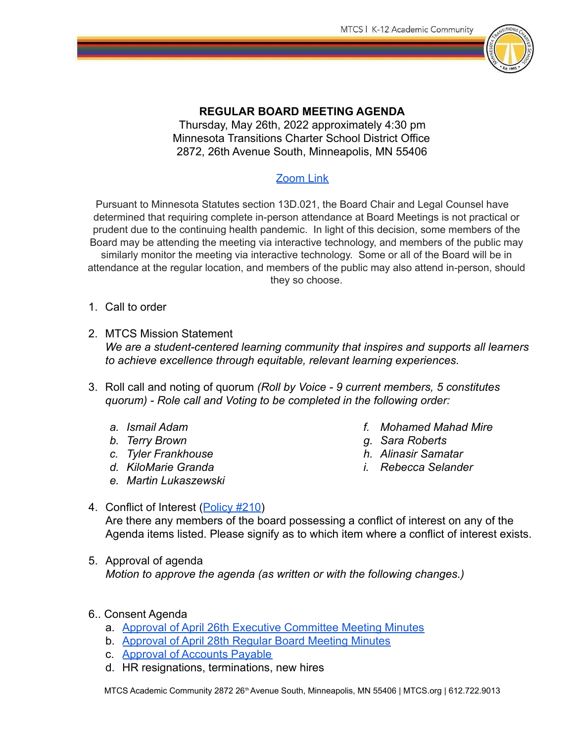

## **REGULAR BOARD MEETING AGENDA**

Thursday, May 26th, 2022 approximately 4:30 pm Minnesota Transitions Charter School District Office 2872, 26th Avenue South, Minneapolis, MN 55406

## [Zoom Link](https://us05web.zoom.us/j/86257704445?pwd=cFBDalI5VnhhODVnQ2RJeDM0YUpBQT09)

Pursuant to Minnesota Statutes section 13D.021, the Board Chair and Legal Counsel have determined that requiring complete in-person attendance at Board Meetings is not practical or prudent due to the continuing health pandemic. In light of this decision, some members of the Board may be attending the meeting via interactive technology, and members of the public may similarly monitor the meeting via interactive technology. Some or all of the Board will be in attendance at the regular location, and members of the public may also attend in-person, should they so choose.

- 1. Call to order
- 2. MTCS Mission Statement *We are a student-centered learning community that inspires and supports all learners to achieve excellence through equitable, relevant learning experiences.*
- 3. Roll call and noting of quorum *(Roll by Voice 9 current members, 5 constitutes quorum) - Role call and Voting to be completed in the following order:*
	- *a. Ismail Adam*
	- *b. Terry Brown*
	- *c. Tyler Frankhouse*
	- *d. KiloMarie Granda*
	- *e. Martin Lukaszewski*
- *f. Mohamed Mahad Mire*
- *g. Sara Roberts*
- *h. Alinasir Samatar*
- *i. Rebecca Selander*

## 4. Conflict of Interest ([Policy #210\)](https://eadn-wc02-3247921.nxedge.io/cdn/wp-content/uploads/2017/08/210-1-Conflict-of-Interest-for-Board-Members.pdf) Are there any members of the board possessing a conflict of interest on any of the Agenda items listed. Please signify as to which item where a conflict of interest exists.

- 5. Approval of agenda *Motion to approve the agenda (as written or with the following changes.)*
- 6.. Consent Agenda
	- a. [Approval of April 26th Executive Committee Meeting Minutes](https://docs.google.com/document/d/1eslFCZfslfpg_fWKoAVsoaL6PxOTNvBtJg8688h1RQA/edit?usp=sharing)
	- b. [Approval of April 28th Regular Board Meeting Minutes](https://docs.google.com/document/d/1rbGr7F34MRt5qtyL2KGNqx9Z-UpgL8YQ4dxbnUzgOII/edit?usp=sharing)
	- c. [Approval of Accounts Payable](https://drive.google.com/file/d/1D1VPhIaQgErN1LxDQA0UJ8uXTIuNE5W9/view?usp=sharing)
	- d. HR resignations, terminations, new hires

MTCS Academic Community 2872 26<sup>th</sup> Avenue South, Minneapolis, MN 55406 | MTCS.org | 612.722.9013